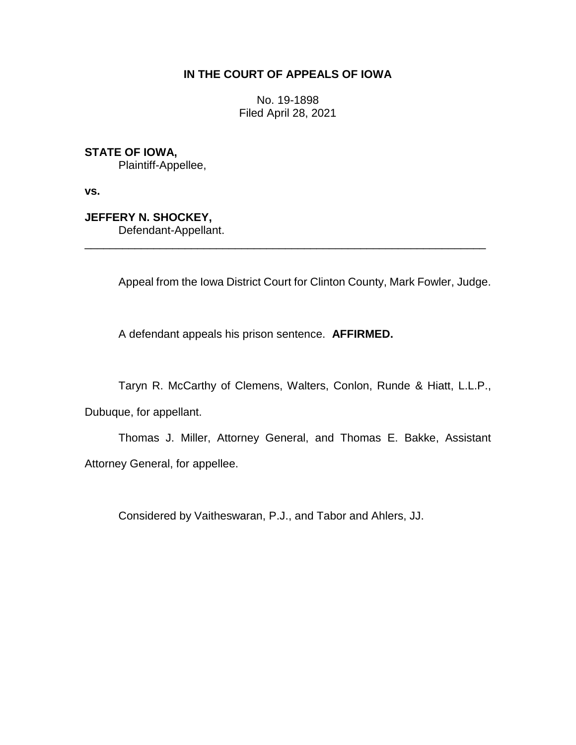## **IN THE COURT OF APPEALS OF IOWA**

No. 19-1898 Filed April 28, 2021

**STATE OF IOWA,**

Plaintiff-Appellee,

**vs.**

**JEFFERY N. SHOCKEY,** Defendant-Appellant.

\_\_\_\_\_\_\_\_\_\_\_\_\_\_\_\_\_\_\_\_\_\_\_\_\_\_\_\_\_\_\_\_\_\_\_\_\_\_\_\_\_\_\_\_\_\_\_\_\_\_\_\_\_\_\_\_\_\_\_\_\_\_\_\_

Appeal from the Iowa District Court for Clinton County, Mark Fowler, Judge.

A defendant appeals his prison sentence. **AFFIRMED.**

Taryn R. McCarthy of Clemens, Walters, Conlon, Runde & Hiatt, L.L.P., Dubuque, for appellant.

Thomas J. Miller, Attorney General, and Thomas E. Bakke, Assistant Attorney General, for appellee.

Considered by Vaitheswaran, P.J., and Tabor and Ahlers, JJ.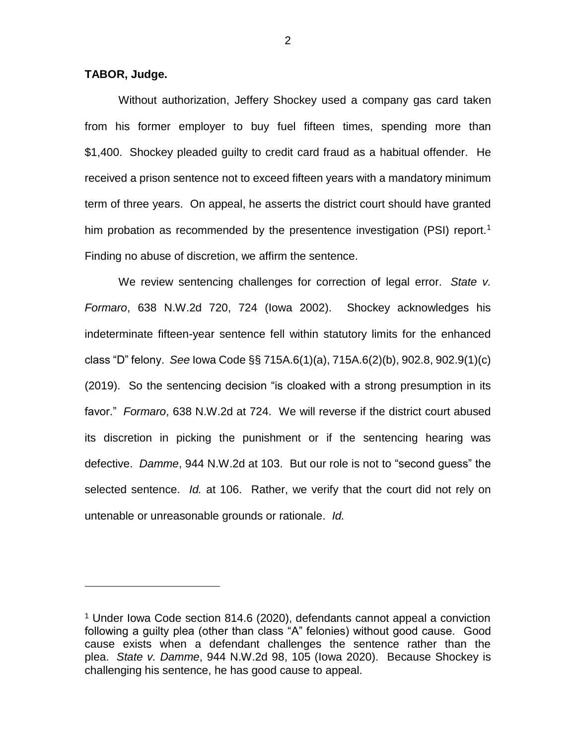## **TABOR, Judge.**

 $\overline{a}$ 

Without authorization, Jeffery Shockey used a company gas card taken from his former employer to buy fuel fifteen times, spending more than \$1,400. Shockey pleaded guilty to credit card fraud as a habitual offender. He received a prison sentence not to exceed fifteen years with a mandatory minimum term of three years. On appeal, he asserts the district court should have granted him probation as recommended by the presentence investigation (PSI) report.<sup>1</sup> Finding no abuse of discretion, we affirm the sentence.

We review sentencing challenges for correction of legal error. *State v. Formaro*, 638 N.W.2d 720, 724 (Iowa 2002). Shockey acknowledges his indeterminate fifteen-year sentence fell within statutory limits for the enhanced class "D" felony. *See* Iowa Code §§ 715A.6(1)(a), 715A.6(2)(b), 902.8, 902.9(1)(c) (2019). So the sentencing decision "is cloaked with a strong presumption in its favor." *Formaro*, 638 N.W.2d at 724. We will reverse if the district court abused its discretion in picking the punishment or if the sentencing hearing was defective. *Damme*, 944 N.W.2d at 103. But our role is not to "second guess" the selected sentence. *Id.* at 106. Rather, we verify that the court did not rely on untenable or unreasonable grounds or rationale. *Id.* 

<sup>&</sup>lt;sup>1</sup> Under Iowa Code section 814.6 (2020), defendants cannot appeal a conviction following a guilty plea (other than class "A" felonies) without good cause. Good cause exists when a defendant challenges the sentence rather than the plea. *State v. Damme*, 944 N.W.2d 98, 105 (Iowa 2020). Because Shockey is challenging his sentence, he has good cause to appeal.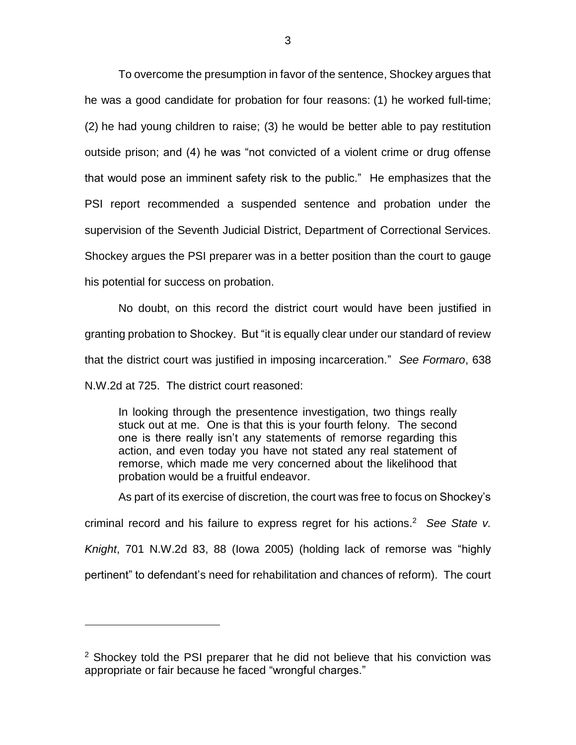To overcome the presumption in favor of the sentence, Shockey argues that he was a good candidate for probation for four reasons: (1) he worked full-time; (2) he had young children to raise; (3) he would be better able to pay restitution outside prison; and (4) he was "not convicted of a violent crime or drug offense that would pose an imminent safety risk to the public." He emphasizes that the PSI report recommended a suspended sentence and probation under the supervision of the Seventh Judicial District, Department of Correctional Services. Shockey argues the PSI preparer was in a better position than the court to gauge his potential for success on probation.

No doubt, on this record the district court would have been justified in granting probation to Shockey. But "it is equally clear under our standard of review that the district court was justified in imposing incarceration." *See Formaro*, 638 N.W.2d at 725. The district court reasoned:

In looking through the presentence investigation, two things really stuck out at me. One is that this is your fourth felony. The second one is there really isn't any statements of remorse regarding this action, and even today you have not stated any real statement of remorse, which made me very concerned about the likelihood that probation would be a fruitful endeavor.

As part of its exercise of discretion, the court was free to focus on Shockey's criminal record and his failure to express regret for his actions. 2 *See State v. Knight*, 701 N.W.2d 83, 88 (Iowa 2005) (holding lack of remorse was "highly pertinent" to defendant's need for rehabilitation and chances of reform). The court

 $\overline{a}$ 

<sup>2</sup> Shockey told the PSI preparer that he did not believe that his conviction was appropriate or fair because he faced "wrongful charges."